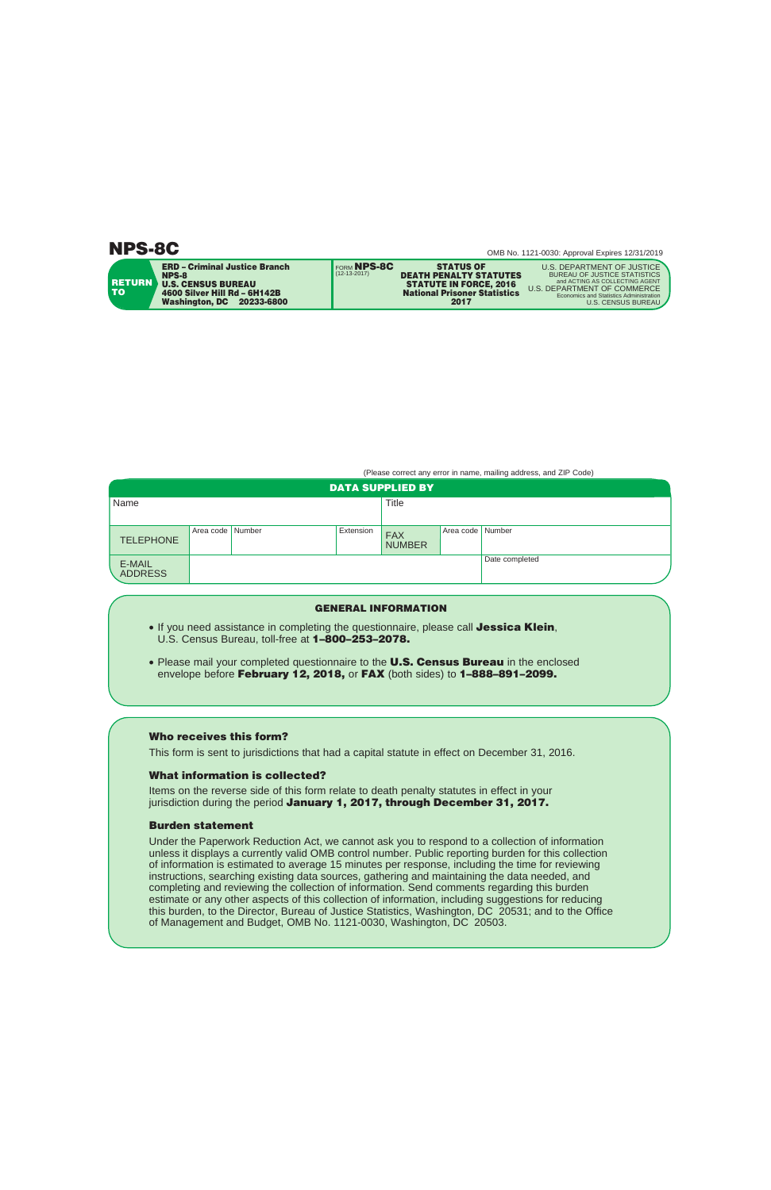| <b>ERD - Criminal Justice Branch</b><br><b>NPS-8</b><br><b>ERETURN</b><br><b>U.S. CENSUS BUREAU</b><br>TO:<br>4600 Silver Hill Rd - 6H142B<br><b>Washington, DC</b><br>20233-6800 | <b>FORM NPS-8C</b><br><b>STATUS OF</b><br>$(12-13-2017)$<br><b>DEATH PENALTY STATUTES</b><br><b>STATUTE IN FORCE, 2016</b><br><b>National Prisoner Statistics</b><br>2017 | U.S. DEPARTMENT OF JUSTICE<br><b>BUREAU OF JUSTICE STATISTICS</b><br>and ACTING AS COLLECTING AGENT<br>U.S. DEPARTMENT OF COMMERCE<br>Economics and Statistics Administration<br><b>U.S. CENSUS BUREAU</b> |
|-----------------------------------------------------------------------------------------------------------------------------------------------------------------------------------|---------------------------------------------------------------------------------------------------------------------------------------------------------------------------|------------------------------------------------------------------------------------------------------------------------------------------------------------------------------------------------------------|
|-----------------------------------------------------------------------------------------------------------------------------------------------------------------------------------|---------------------------------------------------------------------------------------------------------------------------------------------------------------------------|------------------------------------------------------------------------------------------------------------------------------------------------------------------------------------------------------------|

(Please correct any error in name, mailing address, and ZIP Code)

| <b>DATA SUPPLIED BY</b>  |                    |  |           |                             |                  |                |
|--------------------------|--------------------|--|-----------|-----------------------------|------------------|----------------|
| Name                     |                    |  |           | Title                       |                  |                |
|                          |                    |  |           |                             |                  |                |
| <b>TELEPHONE</b>         | Area code   Number |  | Extension | <b>FAX</b><br><b>NUMBER</b> | Area code Number |                |
| E-MAIL<br><b>ADDRESS</b> |                    |  |           |                             |                  | Date completed |

## **GENERAL INFORMATION**

- If you need assistance in completing the questionnaire, please call **Jessica Klein**, U.S. Census Bureau, toll-free at **1–800–253–2078.**
- Please mail your completed questionnaire to the **U.S. Census Bureau** in the enclosed envelope before **February 12, 2018,** or **FAX** (both sides) to **1–888–891–2099.**

# **Who receives this form?**

This form is sent to jurisdictions that had a capital statute in effect on December 31, 2016.

## **What information is collected?**

Items on the reverse side of this form relate to death penalty statutes in effect in your jurisdiction during the period **January 1, 2017, through December 31, 2017.** 

### **Burden statement**

Under the Paperwork Reduction Act, we cannot ask you to respond to a collection of information unless it displays a currently valid OMB control number. Public reporting burden for this collection of information is estimated to average 15 minutes per response, including the time for reviewing instructions, searching existing data sources, gathering and maintaining the data needed, and completing and reviewing the collection of information. Send comments regarding this burden estimate or any other aspects of this collection of information, including suggestions for reducing this burden, to the Director, Bureau of Justice Statistics, Washington, DC 20531; and to the Office of Management and Budget, OMB No. 1121-0030, Washington, DC 20503.